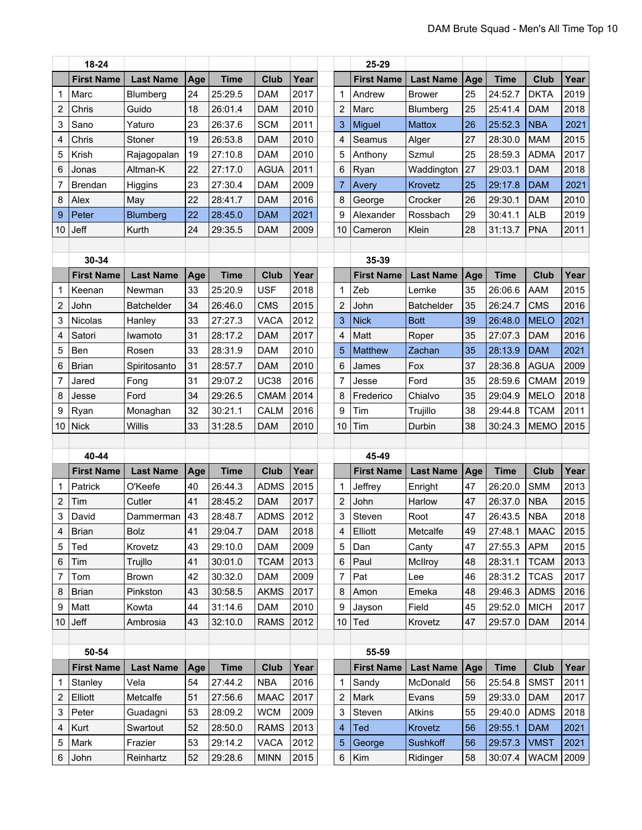|                | 18-24             |                   |     |             |             |      |                | 25-29             |                   |     |             |             |      |
|----------------|-------------------|-------------------|-----|-------------|-------------|------|----------------|-------------------|-------------------|-----|-------------|-------------|------|
|                | <b>First Name</b> | <b>Last Name</b>  | Age | <b>Time</b> | <b>Club</b> | Year |                | <b>First Name</b> | <b>Last Name</b>  | Age | <b>Time</b> | <b>Club</b> | Year |
| 1              | Marc              | Blumberg          | 24  | 25:29.5     | <b>DAM</b>  | 2017 | $\mathbf{1}$   | Andrew            | <b>Brower</b>     | 25  | 24:52.7     | <b>DKTA</b> | 2019 |
| $\overline{c}$ | Chris             | Guido             | 18  | 26:01.4     | <b>DAM</b>  | 2010 | $\overline{c}$ | Marc              | Blumberg          | 25  | 25:41.4     | <b>DAM</b>  | 2018 |
| 3              | Sano              | Yaturo            | 23  | 26:37.6     | <b>SCM</b>  | 2011 | 3              | <b>Miguel</b>     | Mattox            | 26  | 25:52.3     | <b>NBA</b>  | 2021 |
| 4              | Chris             | Stoner            | 19  | 26:53.8     | <b>DAM</b>  | 2010 | 4              | Seamus            | Alger             | 27  | 28:30.0     | <b>MAM</b>  | 2015 |
| 5              | Krish             | Rajagopalan       | 19  | 27:10.8     | <b>DAM</b>  | 2010 | 5              | Anthony           | Szmul             | 25  | 28:59.3     | <b>ADMA</b> | 2017 |
| 6              | Jonas             | Altman-K          | 22  | 27:17.0     | <b>AGUA</b> | 2011 | 6              | Ryan              | Waddington        | 27  | 29:03.1     | <b>DAM</b>  | 2018 |
| 7              | <b>Brendan</b>    | Higgins           | 23  | 27:30.4     | <b>DAM</b>  | 2009 | $\overline{7}$ | Avery             | Krovetz           | 25  | 29:17.8     | <b>DAM</b>  | 2021 |
| 8              | Alex              | May               | 22  | 28:41.7     | <b>DAM</b>  | 2016 | 8              | George            | Crocker           | 26  | 29:30.1     | <b>DAM</b>  | 2010 |
| 9              | Peter             | <b>Blumberg</b>   | 22  | 28:45.0     | <b>DAM</b>  | 2021 | 9              | Alexander         | Rossbach          | 29  | 30:41.1     | <b>ALB</b>  | 2019 |
| 10             | Jeff              | Kurth             | 24  | 29:35.5     | <b>DAM</b>  | 2009 | 10             | Cameron           | Klein             | 28  | 31:13.7     | <b>PNA</b>  | 2011 |
|                |                   |                   |     |             |             |      |                |                   |                   |     |             |             |      |
|                | 30-34             |                   |     |             |             |      |                | 35-39             |                   |     |             |             |      |
|                | <b>First Name</b> | <b>Last Name</b>  | Age | <b>Time</b> | <b>Club</b> | Year |                | <b>First Name</b> | <b>Last Name</b>  | Age | <b>Time</b> | <b>Club</b> | Year |
| 1              | Keenan            | Newman            | 33  | 25:20.9     | <b>USF</b>  | 2018 | $\mathbf{1}$   | Zeb               | Lemke             | 35  | 26:06.6     | <b>AAM</b>  | 2015 |
| 2              | John              | <b>Batchelder</b> | 34  | 26:46.0     | <b>CMS</b>  | 2015 | $\overline{c}$ | John              | <b>Batchelder</b> | 35  | 26:24.7     | <b>CMS</b>  | 2016 |
| 3              | <b>Nicolas</b>    | Hanley            | 33  | 27:27.3     | VACA        | 2012 | 3              | <b>Nick</b>       | <b>Bott</b>       | 39  | 26:48.0     | <b>MELO</b> | 2021 |
| 4              | Satori            | Iwamoto           | 31  | 28:17.2     | <b>DAM</b>  | 2017 | 4              | Matt              | Roper             | 35  | 27:07.3     | <b>DAM</b>  | 2016 |
| 5              | Ben               | Rosen             | 33  | 28:31.9     | <b>DAM</b>  | 2010 | 5              | <b>Matthew</b>    | Zachan            | 35  | 28:13.9     | <b>DAM</b>  | 2021 |
| 6              | <b>Brian</b>      | Spiritosanto      | 31  | 28:57.7     | <b>DAM</b>  | 2010 | 6              | James             | Fox               | 37  | 28:36.8     | <b>AGUA</b> | 2009 |
| 7              | Jared             | Fong              | 31  | 29:07.2     | <b>UC38</b> | 2016 | $\overline{7}$ | Jesse             | Ford              | 35  | 28:59.6     | <b>CMAM</b> | 2019 |
| 8              | Jesse             | Ford              | 34  | 29:26.5     | <b>CMAM</b> | 2014 | 8              | Frederico         | Chialvo           | 35  | 29:04.9     | <b>MELO</b> | 2018 |
| 9              | Ryan              | Monaghan          | 32  | 30:21.1     | <b>CALM</b> | 2016 | 9              | Tim               | Trujillo          | 38  | 29:44.8     | <b>TCAM</b> | 2011 |
| 10             | <b>Nick</b>       | Willis            | 33  | 31:28.5     | <b>DAM</b>  | 2010 | 10             | Tim               | Durbin            | 38  | 30:24.3     | <b>MEMO</b> | 2015 |
|                | 40-44             |                   |     |             |             |      |                | 45-49             |                   |     |             |             |      |
|                | <b>First Name</b> | <b>Last Name</b>  | Age | <b>Time</b> | <b>Club</b> | Year |                | <b>First Name</b> | <b>Last Name</b>  | Age | <b>Time</b> | <b>Club</b> | Year |
| 1              | Patrick           | O'Keefe           | 40  | 26:44.3     | <b>ADMS</b> | 2015 | 1              | Jeffrey           | Enright           | 47  | 26:20.0     | <b>SMM</b>  | 2013 |
| $\overline{c}$ | Tim               | Cutler            | 41  | 28:45.2     | <b>DAM</b>  | 2017 | $\overline{c}$ | John              | Harlow            | 47  | 26:37.0     | <b>NBA</b>  | 2015 |
| 3              | David             | Dammerman         | 43  | 28:48.7     | <b>ADMS</b> | 2012 | 3              | Steven            | Root              | 47  | 26:43.5     | <b>NBA</b>  | 2018 |
| 4              | <b>Brian</b>      | Bolz              | 41  | 29:04.7     | <b>DAM</b>  | 2018 | 4              | Elliott           | Metcalfe          | 49  | 27:48.1     | MAAC        | 2015 |
| 5              | Ted               | Krovetz           | 43  | 29:10.0     | <b>DAM</b>  | 2009 | 5              | Dan               | Canty             | 47  | 27:55.3     | <b>APM</b>  | 2015 |
| 6              | Tim               | Trujllo           | 41  | 30:01.0     | TCAM        | 2013 | 6              | Paul              | McIlroy           | 48  | 28:31.1     | <b>TCAM</b> | 2013 |
| 7              | Tom               | <b>Brown</b>      | 42  | 30:32.0     | <b>DAM</b>  | 2009 | $\overline{7}$ | Pat               | Lee               | 46  | 28:31.2     | <b>TCAS</b> | 2017 |
| 8              | <b>Brian</b>      | Pinkston          | 43  | 30:58.5     | <b>AKMS</b> | 2017 | 8              | Amon              | Emeka             | 48  | 29:46.3     | <b>ADMS</b> | 2016 |
| 9              | Matt              | Kowta             | 44  | 31:14.6     | DAM         | 2010 | 9              | Jayson            | Field             | 45  | 29:52.0     | <b>MICH</b> | 2017 |
| 10             | Jeff              | Ambrosia          | 43  | 32:10.0     | <b>RAMS</b> | 2012 | 10             | Ted               | Krovetz           | 47  | 29:57.0     | <b>DAM</b>  | 2014 |
|                |                   |                   |     |             |             |      |                |                   |                   |     |             |             |      |
|                | 50-54             |                   |     |             |             |      |                | 55-59             |                   |     |             |             |      |
|                | <b>First Name</b> | <b>Last Name</b>  | Age | <b>Time</b> | <b>Club</b> | Year |                | <b>First Name</b> | <b>Last Name</b>  | Age | <b>Time</b> | <b>Club</b> | Year |
| 1              | Stanley           | Vela              | 54  | 27:44.2     | NBA         | 2016 | 1              | Sandy             | McDonald          | 56  | 25:54.8     | <b>SMST</b> | 2011 |
| 2              | Elliott           | Metcalfe          | 51  | 27:56.6     | <b>MAAC</b> | 2017 | $\overline{c}$ | Mark              | Evans             | 59  | 29:33.0     | <b>DAM</b>  | 2017 |
| 3              | Peter             | Guadagni          | 53  | 28:09.2     | <b>WCM</b>  | 2009 | 3              | Steven            | Atkins            | 55  | 29:40.0     | <b>ADMS</b> | 2018 |
| 4              | Kurt              | Swartout          | 52  | 28:50.0     | <b>RAMS</b> | 2013 | 4              | Ted               | Krovetz           | 56  | 29:55.1     | <b>DAM</b>  | 2021 |
| 5              | Mark              | Frazier           | 53  | 29:14.2     | <b>VACA</b> | 2012 | 5              | George            | Sushkoff          | 56  | 29:57.3     | <b>VMST</b> | 2021 |
| 6              | John              | Reinhartz         | 52  | 29:28.6     | <b>MINN</b> | 2015 | 6              | Kim               | Ridinger          | 58  | 30:07.4     | <b>WACM</b> | 2009 |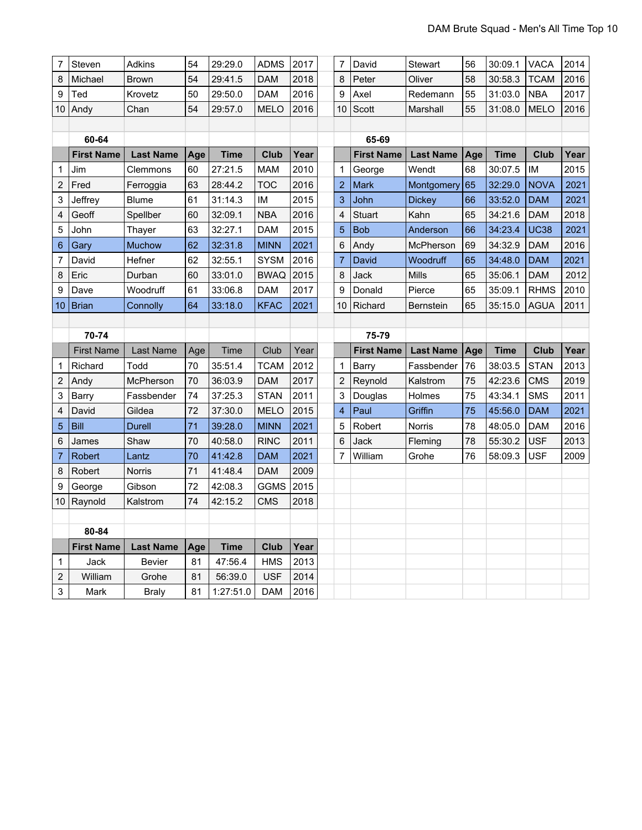| 7               | Steven            | Adkins           | 54  | 29:29.0     | ADMS        | 2017 | 7                       | David             | Stewart          | 56  | 30:09.1     | VACA        | 2014 |
|-----------------|-------------------|------------------|-----|-------------|-------------|------|-------------------------|-------------------|------------------|-----|-------------|-------------|------|
| 8               | Michael           | Brown            | 54  | 29:41.5     | <b>DAM</b>  | 2018 | 8                       | Peter             | Oliver           | 58  | 30:58.3     | TCAM        | 2016 |
| 9               | Ted               | Krovetz          | 50  | 29:50.0     | <b>DAM</b>  | 2016 | 9                       | Axel              | Redemann         | 55  | 31:03.0     | <b>NBA</b>  | 2017 |
| 10              | Andy              | Chan             | 54  | 29:57.0     | <b>MELO</b> | 2016 | 10                      | Scott             | Marshall         | 55  | 31:08.0     | <b>MELO</b> | 2016 |
|                 |                   |                  |     |             |             |      |                         |                   |                  |     |             |             |      |
|                 | 60-64             |                  |     |             |             |      |                         | 65-69             |                  |     |             |             |      |
|                 | <b>First Name</b> | <b>Last Name</b> | Age | <b>Time</b> | <b>Club</b> | Year |                         | <b>First Name</b> | <b>Last Name</b> | Age | <b>Time</b> | <b>Club</b> | Year |
| $\mathbf 1$     | Jim               | Clemmons         | 60  | 27:21.5     | <b>MAM</b>  | 2010 | $\mathbf 1$             | George            | Wendt            | 68  | 30:07.5     | IM          | 2015 |
| 2               | Fred              | Ferroggia        | 63  | 28:44.2     | <b>TOC</b>  | 2016 | $\overline{2}$          | <b>Mark</b>       | Montgomery       | 65  | 32:29.0     | <b>NOVA</b> | 2021 |
| 3               | Jeffrey           | Blume            | 61  | 31:14.3     | IM          | 2015 | 3                       | John              | <b>Dickey</b>    | 66  | 33:52.0     | <b>DAM</b>  | 2021 |
| $\overline{4}$  | Geoff             | Spellber         | 60  | 32:09.1     | <b>NBA</b>  | 2016 | 4                       | Stuart            | Kahn             | 65  | 34:21.6     | <b>DAM</b>  | 2018 |
| 5               | John              | Thayer           | 63  | 32:27.1     | <b>DAM</b>  | 2015 | 5                       | <b>Bob</b>        | Anderson         | 66  | 34:23.4     | <b>UC38</b> | 2021 |
| $6\phantom{1}6$ | Gary              | <b>Muchow</b>    | 62  | 32:31.8     | <b>MINN</b> | 2021 | 6                       | Andy              | McPherson        | 69  | 34:32.9     | DAM         | 2016 |
| 7               | David             | Hefner           | 62  | 32:55.1     | <b>SYSM</b> | 2016 | $\overline{7}$          | David             | Woodruff         | 65  | 34:48.0     | <b>DAM</b>  | 2021 |
| 8               | Eric              | Durban           | 60  | 33:01.0     | <b>BWAQ</b> | 2015 | 8                       | Jack              | Mills            | 65  | 35:06.1     | <b>DAM</b>  | 2012 |
| 9               | Dave              | Woodruff         | 61  | 33:06.8     | <b>DAM</b>  | 2017 | 9                       | Donald            | Pierce           | 65  | 35:09.1     | <b>RHMS</b> | 2010 |
| 10              | <b>Brian</b>      | Connolly         | 64  | 33:18.0     | <b>KFAC</b> | 2021 | 10                      | Richard           | <b>Bernstein</b> | 65  | 35:15.0     | <b>AGUA</b> | 2011 |
|                 |                   |                  |     |             |             |      |                         |                   |                  |     |             |             |      |
|                 |                   |                  |     |             |             |      |                         |                   |                  |     |             |             |      |
|                 | 70-74             |                  |     |             |             |      |                         | 75-79             |                  |     |             |             |      |
|                 | <b>First Name</b> | Last Name        | Age | Time        | Club        | Year |                         | <b>First Name</b> | <b>Last Name</b> | Age | <b>Time</b> | <b>Club</b> | Year |
| 1               | Richard           | Todd             | 70  | 35:51.4     | TCAM        | 2012 | $\mathbf{1}$            | Barry             | Fassbender       | 76  | 38:03.5     | <b>STAN</b> | 2013 |
| $\overline{2}$  | Andy              | McPherson        | 70  | 36:03.9     | <b>DAM</b>  | 2017 | $\overline{2}$          | Reynold           | Kalstrom         | 75  | 42:23.6     | <b>CMS</b>  | 2019 |
| 3               | Barry             | Fassbender       | 74  | 37:25.3     | <b>STAN</b> | 2011 | 3                       | Douglas           | Holmes           | 75  | 43:34.1     | <b>SMS</b>  | 2011 |
| 4               | David             | Gildea           | 72  | 37:30.0     | <b>MELO</b> | 2015 | $\overline{\mathbf{4}}$ | Paul              | Griffin          | 75  | 45:56.0     | <b>DAM</b>  | 2021 |
| 5               | Bill              | Durell           | 71  | 39:28.0     | <b>MINN</b> | 2021 | 5                       | Robert            | Norris           | 78  | 48:05.0     | <b>DAM</b>  | 2016 |
| 6               | James             | Shaw             | 70  | 40:58.0     | <b>RINC</b> | 2011 | 6                       | Jack              | Fleming          | 78  | 55:30.2     | <b>USF</b>  | 2013 |
| $\overline{7}$  | Robert            | Lantz            | 70  | 41:42.8     | <b>DAM</b>  | 2021 | $\overline{7}$          | William           | Grohe            | 76  | 58:09.3     | USF         | 2009 |
| 8               | Robert            | Norris           | 71  | 41:48.4     | <b>DAM</b>  | 2009 |                         |                   |                  |     |             |             |      |
| 9               | George            | Gibson           | 72  | 42:08.3     | <b>GGMS</b> | 2015 |                         |                   |                  |     |             |             |      |
| 10              | Raynold           | Kalstrom         | 74  | 42:15.2     | <b>CMS</b>  | 2018 |                         |                   |                  |     |             |             |      |
|                 |                   |                  |     |             |             |      |                         |                   |                  |     |             |             |      |
|                 | 80-84             |                  |     |             |             |      |                         |                   |                  |     |             |             |      |
|                 | <b>First Name</b> | <b>Last Name</b> | Age | <b>Time</b> | Club        | Year |                         |                   |                  |     |             |             |      |
| 1               | Jack              | <b>Bevier</b>    | 81  | 47:56.4     | <b>HMS</b>  | 2013 |                         |                   |                  |     |             |             |      |
| $\mathbf 2$     | William           | Grohe            | 81  | 56:39.0     | <b>USF</b>  | 2014 |                         |                   |                  |     |             |             |      |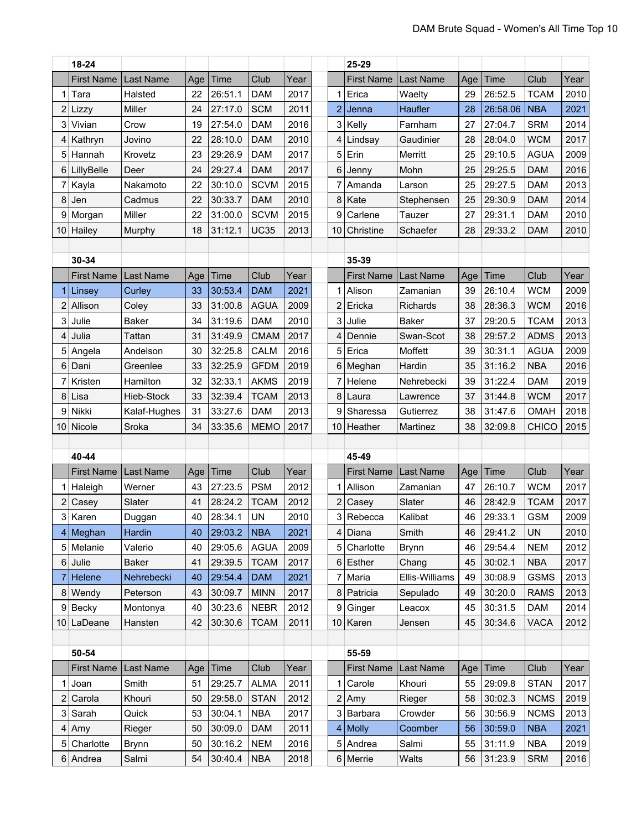|    | 18-24                     |              |           |                 |             |      |                | 25-29                  |                     |           |          |              |      |
|----|---------------------------|--------------|-----------|-----------------|-------------|------|----------------|------------------------|---------------------|-----------|----------|--------------|------|
|    | <b>First Name</b>         | Last Name    | Age       | Time            | Club        | Year |                | First Name             | Last Name           | Age       | Time     | Club         | Year |
| 1  | Tara                      | Halsted      | 22        | 26:51.1         | <b>DAM</b>  | 2017 | 1              | Erica                  | Waelty              | 29        | 26:52.5  | <b>TCAM</b>  | 2010 |
| 2  | Lizzy                     | Miller       | 24        | 27:17.0         | <b>SCM</b>  | 2011 | $\overline{2}$ | Jenna                  | Haufler             | 28        | 26:58.06 | <b>NBA</b>   | 2021 |
| 3  | Vivian                    | Crow         | 19        | 27:54.0         | <b>DAM</b>  | 2016 | 3              | Kelly                  | Farnham             | 27        | 27:04.7  | <b>SRM</b>   | 2014 |
| 4  | Kathryn                   | Jovino       | 22        | 28:10.0         | <b>DAM</b>  | 2010 | 4              | Lindsay                | Gaudinier           | 28        | 28:04.0  | <b>WCM</b>   | 2017 |
| 5  | Hannah                    | Krovetz      | 23        | 29:26.9         | <b>DAM</b>  | 2017 | 5              | Erin                   | Merritt             | 25        | 29:10.5  | <b>AGUA</b>  | 2009 |
| 6  | LillyBelle                | Deer         | 24        | 29:27.4         | <b>DAM</b>  | 2017 | 6              | Jenny                  | Mohn                | 25        | 29:25.5  | <b>DAM</b>   | 2016 |
| 7  | Kayla                     | Nakamoto     | 22        | 30:10.0         | <b>SCVM</b> | 2015 |                | Amanda                 | Larson              | 25        | 29:27.5  | <b>DAM</b>   | 2013 |
| 8  | Jen                       | Cadmus       | 22        | 30:33.7         | <b>DAM</b>  | 2010 | 8              | Kate                   | Stephensen          | 25        | 29:30.9  | <b>DAM</b>   | 2014 |
| 9  | Morgan                    | Miller       | 22        | 31:00.0         | <b>SCVM</b> | 2015 | 9              | Carlene                | Tauzer              | 27        | 29:31.1  | <b>DAM</b>   | 2010 |
|    | $10$ Hailey               | Murphy       | 18        | 31:12.1         | <b>UC35</b> | 2013 | 10             | Christine              | Schaefer            | 28        | 29:33.2  | <b>DAM</b>   | 2010 |
|    |                           |              |           |                 |             |      |                |                        |                     |           |          |              |      |
|    | 30-34                     |              |           |                 |             |      |                | 35-39                  |                     |           |          |              |      |
|    | <b>First Name</b>         | Last Name    | Age       | <b>Time</b>     | Club        | Year |                | <b>First Name</b>      | Last Name           | Age       | Time     | Club         | Year |
| 1  | Linsey                    | Curley       | 33        | 30:53.4         | <b>DAM</b>  | 2021 |                | Alison                 | Zamanian            | 39        | 26:10.4  | <b>WCM</b>   | 2009 |
| 2  | Allison                   | Coley        | 33        | 31:00.8         | <b>AGUA</b> | 2009 | 2              | Ericka                 | Richards            | 38        | 28:36.3  | <b>WCM</b>   | 2016 |
| 3  | Julie                     | <b>Baker</b> | 34        | 31:19.6         | <b>DAM</b>  | 2010 | 3              | Julie                  | <b>Baker</b>        | 37        | 29:20.5  | <b>TCAM</b>  | 2013 |
| 4  | Julia                     | Tattan       | 31        | 31:49.9         | <b>CMAM</b> | 2017 |                | Dennie                 | Swan-Scot           | 38        | 29:57.2  | <b>ADMS</b>  | 2013 |
|    | 5 Angela                  | Andelson     | 30        | 32:25.8         | CALM        | 2016 | 5              | Erica                  | Moffett             | 39        | 30:31.1  | <b>AGUA</b>  | 2009 |
| 6  | Dani                      | Greenlee     | 33        | 32:25.9         | <b>GFDM</b> | 2019 | 6              | Meghan                 | Hardin              | 35        | 31:16.2  | <b>NBA</b>   | 2016 |
| 7  | Kristen                   | Hamilton     | 32        | 32:33.1         | <b>AKMS</b> | 2019 | 7              | Helene                 | Nehrebecki          | 39        | 31:22.4  | <b>DAM</b>   | 2019 |
| 8  | Lisa                      | Hieb-Stock   | 33        | 32:39.4         | <b>TCAM</b> | 2013 | 8              | Laura                  | Lawrence            | 37        | 31:44.8  | <b>WCM</b>   | 2017 |
| 9  | Nikki                     | Kalaf-Hughes | 31        | 33:27.6         | <b>DAM</b>  | 2013 | 9              | Sharessa               | Gutierrez           | 38        | 31:47.6  | <b>OMAH</b>  | 2018 |
| 10 | Nicole                    | Sroka        | 34        | 33:35.6         | <b>MEMO</b> | 2017 | 10             | Heather                | Martinez            | 38        | 32:09.8  | <b>CHICO</b> | 2015 |
|    |                           |              |           |                 |             |      |                |                        |                     |           |          |              |      |
|    | 40-44                     |              |           |                 |             |      |                | 45-49                  |                     |           |          |              |      |
|    | <b>First Name</b>         | Last Name    | Age       | Time            | Club        | Year |                | <b>First Name</b>      | Last Name           | Age       | Time     | Club         | Year |
| 1  | Haleigh                   | Werner       | 43        | 27:23.5         | <b>PSM</b>  | 2012 | 1              | Allison                | Zamanian            | 47        | 26:10.7  | <b>WCM</b>   | 2017 |
| 2  | Casey                     | Slater       | 41        | 28:24.2         | <b>TCAM</b> | 2012 | 2              | Casey                  | Slater              | 46        | 28:42.9  | <b>TCAM</b>  | 2017 |
| 3  | Karen                     | Duggan       | 40        | 28:34.1         | <b>UN</b>   | 2010 | 3              | Rebecca                | Kalibat             | 46        | 29:33.1  | <b>GSM</b>   | 2009 |
|    | $4$ Meghan                | Hardin       | 40        | 29:03.2         | <b>NBA</b>  | 2021 |                | 4   Diana              | Smith               | 46        | 29:41.2  | <b>UN</b>    | 2010 |
|    | 5 Melanie                 | Valerio      | 40        | 29:05.6         | <b>AGUA</b> | 2009 | 5              | Charlotte              | <b>Brynn</b>        | 46        | 29:54.4  | <b>NEM</b>   | 2012 |
|    | $6$ Julie                 | <b>Baker</b> | 41        | 29:39.5         | <b>TCAM</b> | 2017 | 6              | Esther                 | Chang               | 45        | 30:02.1  | <b>NBA</b>   | 2017 |
|    | $7$ Helene                | Nehrebecki   | 40        | 29:54.4         | <b>DAM</b>  | 2021 | 7              | Maria                  | Ellis-Williams      | 49        | 30:08.9  | <b>GSMS</b>  | 2013 |
|    | 8   Wendy                 | Peterson     | 43        | 30:09.7         | <b>MINN</b> | 2017 | 8              | Patricia               | Sepulado            | 49        | 30:20.0  | <b>RAMS</b>  | 2013 |
|    | $9 $ Becky                | Montonya     | 40        | 30:23.6         | <b>NEBR</b> | 2012 | 9              | Ginger                 | Leacox              | 45        | 30:31.5  | <b>DAM</b>   | 2014 |
|    | 10 LaDeane                | Hansten      | 42        | 30:30.6         | <b>TCAM</b> | 2011 | 10             | Karen                  | Jensen              | 45        | 30:34.6  | VACA         | 2012 |
|    | 50-54                     |              |           |                 |             |      |                | 55-59                  |                     |           |          |              |      |
|    |                           | Last Name    |           |                 | Club        | Year |                |                        |                     |           | Time     | Club         | Year |
| 1  | <b>First Name</b><br>Joan | Smith        | Age<br>51 | Time<br>29:25.7 | <b>ALMA</b> | 2011 |                | First Name  <br>Carole | Last Name<br>Khouri | Age<br>55 | 29:09.8  | <b>STAN</b>  | 2017 |
| 2  | Carola                    | Khouri       | 50        | 29:58.0         | <b>STAN</b> | 2012 | 2              | Amy                    | Rieger              | 58        | 30:02.3  | <b>NCMS</b>  | 2019 |
| 3  | Sarah                     | Quick        | 53        | 30:04.1         | <b>NBA</b>  | 2017 | 3              | Barbara                | Crowder             | 56        | 30:56.9  | <b>NCMS</b>  | 2013 |
| 4  | Amy                       | Rieger       | 50        | 30:09.0         | <b>DAM</b>  | 2011 | 4              | Molly                  | Coomber             | 56        | 30:59.0  | <b>NBA</b>   | 2021 |
| 5  | Charlotte                 | <b>Brynn</b> | 50        | 30:16.2         | <b>NEM</b>  | 2016 | 5              | Andrea                 | Salmi               | 55        | 31:11.9  | <b>NBA</b>   | 2019 |
|    | 6 Andrea                  | Salmi        | 54        | 30:40.4         | <b>NBA</b>  | 2018 |                | $6$ Merrie             | Walts               | 56        | 31:23.9  | <b>SRM</b>   | 2016 |
|    |                           |              |           |                 |             |      |                |                        |                     |           |          |              |      |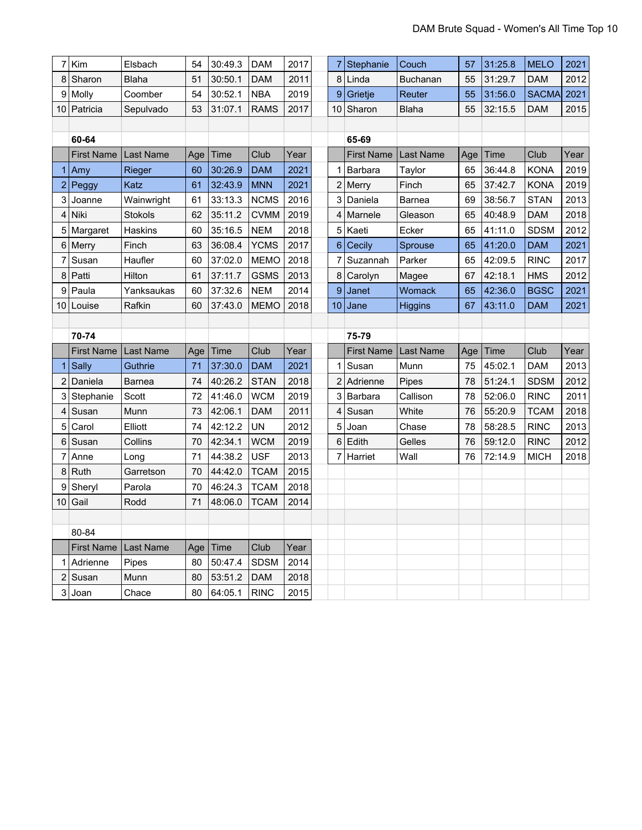| 7               | Kim               | Elsbach          | 54  | 30:49.3 | <b>DAM</b>  | 2017 | 7  | Stephanie         | Couch            | 57  | 31:25.8 | <b>MELO</b>  | 2021 |
|-----------------|-------------------|------------------|-----|---------|-------------|------|----|-------------------|------------------|-----|---------|--------------|------|
| 8               | Sharon            | <b>Blaha</b>     | 51  | 30:50.1 | <b>DAM</b>  | 2011 | 8  | Linda             | Buchanan         | 55  | 31:29.7 | <b>DAM</b>   | 2012 |
| 9               | Molly             | Coomber          | 54  | 30:52.1 | <b>NBA</b>  | 2019 | 9  | Grietje           | Reuter           | 55  | 31:56.0 | <b>SACMA</b> | 2021 |
| 10 <sup>1</sup> | Patricia          | Sepulvado        | 53  | 31:07.1 | <b>RAMS</b> | 2017 | 10 | Sharon            | <b>Blaha</b>     | 55  | 32:15.5 | <b>DAM</b>   | 2015 |
|                 |                   |                  |     |         |             |      |    |                   |                  |     |         |              |      |
|                 | 60-64             |                  |     |         |             |      |    | 65-69             |                  |     |         |              |      |
|                 | <b>First Name</b> | <b>Last Name</b> | Age | Time    | Club        | Year |    | First Name        | <b>Last Name</b> | Age | Time    | Club         | Year |
| 1               | Amy               | Rieger           | 60  | 30:26.9 | <b>DAM</b>  | 2021 | 1  | Barbara           | Taylor           | 65  | 36:44.8 | <b>KONA</b>  | 2019 |
| $\overline{2}$  | Peggy             | Katz             | 61  | 32:43.9 | <b>MNN</b>  | 2021 | 2  | Merry             | Finch            | 65  | 37:42.7 | <b>KONA</b>  | 2019 |
| 3               | Joanne            | Wainwright       | 61  | 33:13.3 | <b>NCMS</b> | 2016 | 3  | Daniela           | Barnea           | 69  | 38:56.7 | <b>STAN</b>  | 2013 |
| 4               | Niki              | Stokols          | 62  | 35:11.2 | <b>CVMM</b> | 2019 | 4  | Marnele           | Gleason          | 65  | 40:48.9 | <b>DAM</b>   | 2018 |
| 5               | Margaret          | Haskins          | 60  | 35:16.5 | <b>NEM</b>  | 2018 | 5  | Kaeti             | Ecker            | 65  | 41:11.0 | SDSM         | 2012 |
| 6               | Merry             | Finch            | 63  | 36:08.4 | <b>YCMS</b> | 2017 | 6  | Cecily            | Sprouse          | 65  | 41:20.0 | <b>DAM</b>   | 2021 |
| 7               | Susan             | Haufler          | 60  | 37:02.0 | <b>MEMO</b> | 2018 |    | Suzannah          | Parker           | 65  | 42:09.5 | <b>RINC</b>  | 2017 |
| 8               | Patti             | Hilton           | 61  | 37:11.7 | <b>GSMS</b> | 2013 | 8  | Carolyn           | Magee            | 67  | 42:18.1 | <b>HMS</b>   | 2012 |
| 9               | Paula             | Yanksaukas       | 60  | 37:32.6 | <b>NEM</b>  | 2014 | 9  | Janet             | <b>Womack</b>    | 65  | 42:36.0 | <b>BGSC</b>  | 2021 |
| 10              | Louise            | Rafkin           | 60  | 37:43.0 | <b>MEMO</b> | 2018 | 10 | Jane              | Higgins          | 67  | 43:11.0 | <b>DAM</b>   | 2021 |
|                 |                   |                  |     |         |             |      |    |                   |                  |     |         |              |      |
|                 |                   |                  |     |         |             |      |    |                   |                  |     |         |              |      |
|                 | 70-74             |                  |     |         |             |      |    | 75-79             |                  |     |         |              |      |
|                 | <b>First Name</b> | <b>Last Name</b> | Age | Time    | Club        | Year |    | <b>First Name</b> | Last Name        | Age | Time    | Club         | Year |
| 1               | Sally             | <b>Guthrie</b>   | 71  | 37:30.0 | <b>DAM</b>  | 2021 | 1  | Susan             | Munn             | 75  | 45:02.1 | <b>DAM</b>   | 2013 |
| 2               | Daniela           | Barnea           | 74  | 40:26.2 | <b>STAN</b> | 2018 | 2  | Adrienne          | Pipes            | 78  | 51:24.1 | <b>SDSM</b>  | 2012 |
| 3               | Stephanie         | Scott            | 72  | 41:46.0 | <b>WCM</b>  | 2019 | 3  | Barbara           | Callison         | 78  | 52:06.0 | <b>RINC</b>  | 2011 |
| 4               | Susan             | Munn             | 73  | 42:06.1 | <b>DAM</b>  | 2011 | 4  | Susan             | White            | 76  | 55:20.9 | <b>TCAM</b>  | 2018 |
| 5               | Carol             | Elliott          | 74  | 42:12.2 | <b>UN</b>   | 2012 | 5  | Joan              | Chase            | 78  | 58:28.5 | <b>RINC</b>  | 2013 |
| 6               | Susan             | Collins          | 70  | 42:34.1 | <b>WCM</b>  | 2019 | 6  | Edith             | Gelles           | 76  | 59:12.0 | <b>RINC</b>  | 2012 |
| $\overline{7}$  | Anne              | Long             | 71  | 44:38.2 | <b>USF</b>  | 2013 | 7  | Harriet           | Wall             | 76  | 72:14.9 | MICH         | 2018 |
| 8               | Ruth              | Garretson        | 70  | 44:42.0 | <b>TCAM</b> | 2015 |    |                   |                  |     |         |              |      |
| 9               | Sheryl            | Parola           | 70  | 46:24.3 | <b>TCAM</b> | 2018 |    |                   |                  |     |         |              |      |
| 10              | Gail              | Rodd             | 71  | 48:06.0 | <b>TCAM</b> | 2014 |    |                   |                  |     |         |              |      |
|                 |                   |                  |     |         |             |      |    |                   |                  |     |         |              |      |
|                 | 80-84             |                  |     |         |             |      |    |                   |                  |     |         |              |      |
|                 | <b>First Name</b> | Last Name        | Age | Time    | Club        | Year |    |                   |                  |     |         |              |      |
| 1               | Adrienne          | Pipes            | 80  | 50:47.4 | <b>SDSM</b> | 2014 |    |                   |                  |     |         |              |      |
| 2               | Susan             | Munn             | 80  | 53:51.2 | <b>DAM</b>  | 2018 |    |                   |                  |     |         |              |      |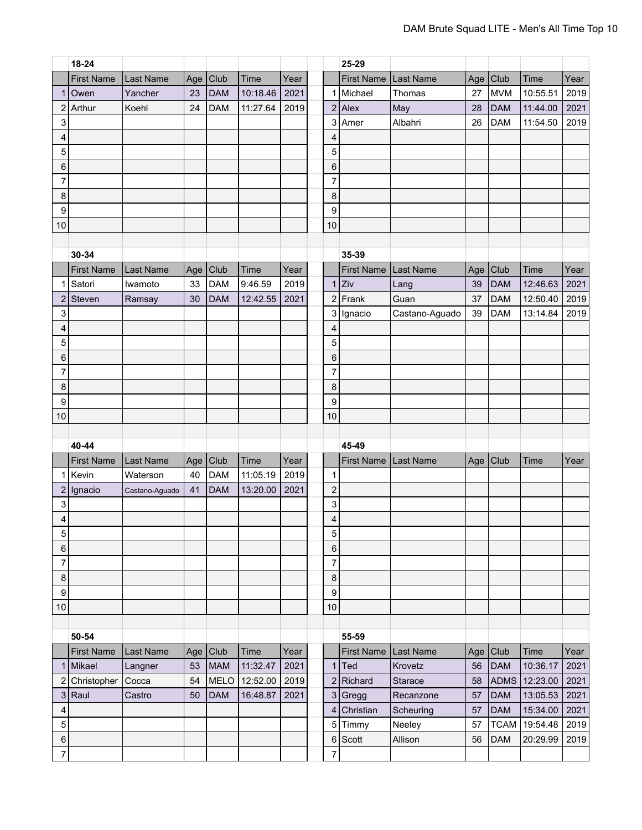|                         | 18-24             |                |     |             |             |      |                | 25-29                  |                |     |            |               |      |
|-------------------------|-------------------|----------------|-----|-------------|-------------|------|----------------|------------------------|----------------|-----|------------|---------------|------|
|                         | <b>First Name</b> | Last Name      |     | Age Club    | Time        | Year |                | First Name   Last Name |                | Age | Club       | Time          | Year |
| 1                       | Owen              | Yancher        | 23  | <b>DAM</b>  | 10:18.46    | 2021 |                | 1 Michael              | Thomas         | 27  | <b>MVM</b> | 10:55.51      | 2019 |
| 2                       | Arthur            | Koehl          | 24  | <b>DAM</b>  | 11:27.64    | 2019 |                | $2$ Alex               | May            | 28  | <b>DAM</b> | 11:44.00      | 2021 |
| 3                       |                   |                |     |             |             |      | $\overline{3}$ | Amer                   | Albahri        | 26  | <b>DAM</b> | 11:54.50      | 2019 |
| 4                       |                   |                |     |             |             |      | 4              |                        |                |     |            |               |      |
| 5                       |                   |                |     |             |             |      | 5              |                        |                |     |            |               |      |
| 6                       |                   |                |     |             |             |      | 6              |                        |                |     |            |               |      |
| 7                       |                   |                |     |             |             |      | 7              |                        |                |     |            |               |      |
| 8                       |                   |                |     |             |             |      | 8              |                        |                |     |            |               |      |
| 9                       |                   |                |     |             |             |      | 9              |                        |                |     |            |               |      |
| 10                      |                   |                |     |             |             |      | 10             |                        |                |     |            |               |      |
|                         |                   |                |     |             |             |      |                |                        |                |     |            |               |      |
|                         | 30-34             |                |     |             |             |      |                | 35-39                  |                |     |            |               |      |
|                         | <b>First Name</b> | Last Name      | Age | Club        | <b>Time</b> | Year |                | <b>First Name</b>      | Last Name      | Age | Club       | Time          | Year |
| 1                       | Satori            | Iwamoto        | 33  | <b>DAM</b>  | 9:46.59     | 2019 |                | $1$ Ziv                | Lang           | 39  | <b>DAM</b> | 12:46.63      | 2021 |
| 2                       | Steven            | Ramsay         | 30  | <b>DAM</b>  | 12:42.55    | 2021 |                | $2$ Frank              | Guan           | 37  | <b>DAM</b> | 12:50.40      | 2019 |
| 3                       |                   |                |     |             |             |      | 3              | Ignacio                | Castano-Aguado | 39  | <b>DAM</b> | 13:14.84      | 2019 |
| 4                       |                   |                |     |             |             |      | 4              |                        |                |     |            |               |      |
| 5                       |                   |                |     |             |             |      | 5              |                        |                |     |            |               |      |
| 6                       |                   |                |     |             |             |      | 6              |                        |                |     |            |               |      |
| $\overline{7}$          |                   |                |     |             |             |      | 7              |                        |                |     |            |               |      |
| 8                       |                   |                |     |             |             |      | 8              |                        |                |     |            |               |      |
| 9                       |                   |                |     |             |             |      | 9              |                        |                |     |            |               |      |
| 10                      |                   |                |     |             |             |      | 10             |                        |                |     |            |               |      |
|                         |                   |                |     |             |             |      |                |                        |                |     |            |               |      |
|                         | 40-44             |                |     |             |             |      |                | 45-49                  |                |     |            |               |      |
|                         | <b>First Name</b> | Last Name      | Age | Club        | Time        | Year |                | <b>First Name</b>      | Last Name      | Age | $ $ Club   | Time          | Year |
| 1                       | Kevin             | Waterson       | 40  | <b>DAM</b>  | 11:05.19    | 2019 | 1              |                        |                |     |            |               |      |
| 2                       | Ignacio           | Castano-Aguado | 41  | <b>DAM</b>  | 13:20.00    | 2021 | $\overline{c}$ |                        |                |     |            |               |      |
| 3                       |                   |                |     |             |             |      | 3              |                        |                |     |            |               |      |
| 4                       |                   |                |     |             |             |      | 4              |                        |                |     |            |               |      |
| 5                       |                   |                |     |             |             |      | 5              |                        |                |     |            |               |      |
| $\,6$                   |                   |                |     |             |             |      | 6              |                        |                |     |            |               |      |
| $\overline{7}$          |                   |                |     |             |             |      | $\overline{7}$ |                        |                |     |            |               |      |
| $\,8\,$                 |                   |                |     |             |             |      | $\bf 8$        |                        |                |     |            |               |      |
| 9                       |                   |                |     |             |             |      | 9              |                        |                |     |            |               |      |
| 10                      |                   |                |     |             |             |      | 10             |                        |                |     |            |               |      |
|                         |                   |                |     |             |             |      |                |                        |                |     |            |               |      |
|                         | 50-54             |                |     |             |             |      |                | 55-59                  |                |     |            |               |      |
|                         | <b>First Name</b> | Last Name      |     | Age Club    | Time        | Year |                | First Name   Last Name |                |     | Age   Club | Time          | Year |
|                         | $1$ Mikael        | Langner        | 53  | <b>MAM</b>  | 11:32.47    | 2021 |                | $1$ Ted                | Krovetz        | 56  | <b>DAM</b> | 10:36.17      | 2021 |
| $\overline{c}$          | Christopher       | Cocca          | 54  | <b>MELO</b> | 12:52.00    | 2019 |                | $2$ Richard            | <b>Starace</b> | 58  |            | ADMS 12:23.00 | 2021 |
| 3                       | Raul              | Castro         | 50  | <b>DAM</b>  | 16:48.87    | 2021 |                | 3 Gregg                | Recanzone      | 57  | <b>DAM</b> | 13:05.53      | 2021 |
| $\overline{\mathbf{4}}$ |                   |                |     |             |             |      |                | $4$ Christian          | Scheuring      | 57  | <b>DAM</b> | 15:34.00      | 2021 |
| $\mathbf 5$             |                   |                |     |             |             |      |                | $5$ Timmy              | Neeley         | 57  |            | TCAM 19:54.48 | 2019 |
| 6                       |                   |                |     |             |             |      |                | $6 $ Scott             | Allison        | 56  | <b>DAM</b> | 20:29.99      | 2019 |
| $\overline{7}$          |                   |                |     |             |             |      | $\overline{7}$ |                        |                |     |            |               |      |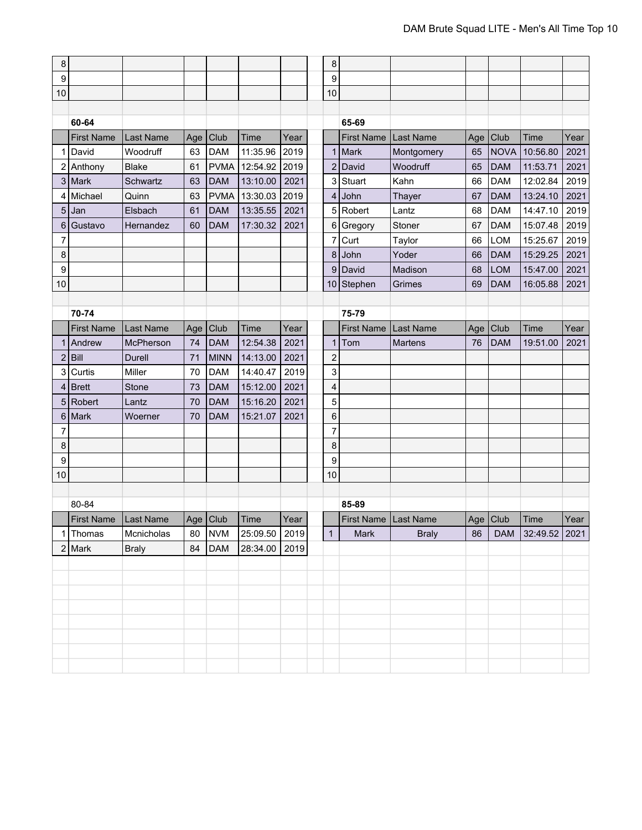| 8              |                   |              |     |              |          |      | 8              |                        |              |     |             |               |      |
|----------------|-------------------|--------------|-----|--------------|----------|------|----------------|------------------------|--------------|-----|-------------|---------------|------|
| 9              |                   |              |     |              |          |      | 9              |                        |              |     |             |               |      |
| 10             |                   |              |     |              |          |      | 10             |                        |              |     |             |               |      |
|                |                   |              |     |              |          |      |                |                        |              |     |             |               |      |
|                | 60-64             |              |     |              |          |      |                | 65-69                  |              |     |             |               |      |
|                | <b>First Name</b> | Last Name    | Age | Club         | Time     | Year |                | First Name   Last Name |              | Age | Club        | <b>Time</b>   | Year |
| $\mathbf 1$    | David             | Woodruff     | 63  | <b>DAM</b>   | 11:35.96 | 2019 |                | $1$ Mark               | Montgomery   | 65  | <b>NOVA</b> | 10:56.80      | 2021 |
| 2              | Anthony           | <b>Blake</b> | 61  | <b>PVMA</b>  | 12:54.92 | 2019 |                | $2$ David              | Woodruff     | 65  | <b>DAM</b>  | 11:53.71      | 2021 |
| 3              | Mark              | Schwartz     | 63  | <b>DAM</b>   | 13:10.00 | 2021 |                | 3 Stuart               | Kahn         | 66  | <b>DAM</b>  | 12:02.84      | 2019 |
| 4              | Michael           | Quinn        | 63  | <b>PVMA</b>  | 13:30.03 | 2019 |                | $4$ John               | Thayer       | 67  | <b>DAM</b>  | 13:24.10      | 2021 |
| 5              | Jan               | Elsbach      | 61  | <b>DAM</b>   | 13:35.55 | 2021 |                | 5 Robert               | Lantz        | 68  | <b>DAM</b>  | 14:47.10      | 2019 |
| 6              | Gustavo           | Hernandez    | 60  | <b>DAM</b>   | 17:30.32 | 2021 |                | 6 Gregory              | Stoner       | 67  | <b>DAM</b>  | 15:07.48      | 2019 |
| $\overline{7}$ |                   |              |     |              |          |      | $\overline{7}$ | Curt                   | Taylor       | 66  | <b>LOM</b>  | 15:25.67      | 2019 |
| 8              |                   |              |     |              |          |      | 8 <sup>1</sup> | John                   | Yoder        | 66  | <b>DAM</b>  | 15:29.25      | 2021 |
| 9              |                   |              |     |              |          |      |                | 9 David                | Madison      | 68  | <b>LOM</b>  | 15:47.00      | 2021 |
| 10             |                   |              |     |              |          |      |                | 10 Stephen             | Grimes       | 69  | <b>DAM</b>  | 16:05.88      | 2021 |
|                |                   |              |     |              |          |      |                |                        |              |     |             |               |      |
|                | 70-74             |              |     |              |          |      |                | 75-79                  |              |     |             |               |      |
|                | <b>First Name</b> | Last Name    | Age | Club         | Time     | Year |                | <b>First Name</b>      | Last Name    | Age | Club        | Time          | Year |
| 1              | Andrew            | McPherson    | 74  | <b>DAM</b>   | 12:54.38 | 2021 | $\mathbf{1}$   | Tom                    | Martens      | 76  | <b>DAM</b>  | 19:51.00      | 2021 |
| 2              | Bill              | Durell       | 71  | <b>MINN</b>  | 14:13.00 | 2021 | $\overline{2}$ |                        |              |     |             |               |      |
| 3              | Curtis            | Miller       | 70  | <b>DAM</b>   | 14:40.47 | 2019 | 3              |                        |              |     |             |               |      |
| 4              | <b>Brett</b>      | Stone        | 73  | <b>DAM</b>   | 15:12.00 | 2021 | 4              |                        |              |     |             |               |      |
| 5              | Robert            | Lantz        | 70  | <b>DAM</b>   | 15:16.20 | 2021 | 5              |                        |              |     |             |               |      |
| 6              | Mark              | Woerner      | 70  | <b>DAM</b>   | 15:21.07 | 2021 | 6              |                        |              |     |             |               |      |
| 7              |                   |              |     |              |          |      | $\overline{7}$ |                        |              |     |             |               |      |
| 8              |                   |              |     |              |          |      | 8              |                        |              |     |             |               |      |
| 9              |                   |              |     |              |          |      | 9              |                        |              |     |             |               |      |
| 10             |                   |              |     |              |          |      | 10             |                        |              |     |             |               |      |
|                |                   |              |     |              |          |      |                |                        |              |     |             |               |      |
|                | 80-84             |              |     |              |          |      |                | 85-89                  |              |     |             |               |      |
|                | <b>First Name</b> | Last Name    |     | Age $ $ Club | Time     | Year |                | First Name   Last Name |              |     | Age   Club  | Time          | Year |
|                | $1$ Thomas        | Mcnicholas   | 80  | <b>NVM</b>   | 25:09.50 | 2019 | $\mathbf 1$    | Mark                   | <b>Braly</b> | 86  | <b>DAM</b>  | 32:49.52 2021 |      |
|                | $2$ Mark          | <b>Braly</b> | 84  | <b>DAM</b>   | 28:34.00 | 2019 |                |                        |              |     |             |               |      |
|                |                   |              |     |              |          |      |                |                        |              |     |             |               |      |
|                |                   |              |     |              |          |      |                |                        |              |     |             |               |      |
|                |                   |              |     |              |          |      |                |                        |              |     |             |               |      |
|                |                   |              |     |              |          |      |                |                        |              |     |             |               |      |
|                |                   |              |     |              |          |      |                |                        |              |     |             |               |      |
|                |                   |              |     |              |          |      |                |                        |              |     |             |               |      |
|                |                   |              |     |              |          |      |                |                        |              |     |             |               |      |
|                |                   |              |     |              |          |      |                |                        |              |     |             |               |      |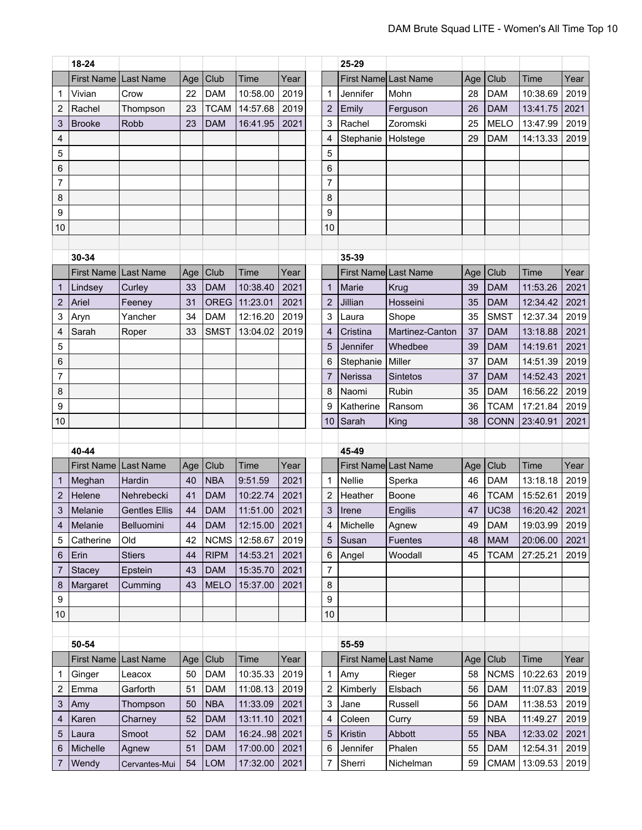|                | 18-24                  |                      |     |             |               |      |                | 25-29                |                              |     |             |             |      |
|----------------|------------------------|----------------------|-----|-------------|---------------|------|----------------|----------------------|------------------------------|-----|-------------|-------------|------|
|                | First Name   Last Name |                      | Age | Club        | Time          | Year |                |                      | <b>First Namel Last Name</b> | Age | Club        | Time        | Year |
| 1              | Vivian                 | Crow                 | 22  | <b>DAM</b>  | 10:58.00      | 2019 | 1              | Jennifer             | Mohn                         | 28  | <b>DAM</b>  | 10:38.69    | 2019 |
| 2              | Rachel                 | Thompson             | 23  | <b>TCAM</b> | 14:57.68      | 2019 | $\overline{2}$ | Emily                | Ferguson                     | 26  | <b>DAM</b>  | 13:41.75    | 2021 |
| 3              | <b>Brooke</b>          | Robb                 | 23  | <b>DAM</b>  | 16:41.95      | 2021 | 3              | Rachel               | Zoromski                     | 25  | <b>MELO</b> | 13:47.99    | 2019 |
| 4              |                        |                      |     |             |               |      | 4              | Stephanie            | Holstege                     | 29  | <b>DAM</b>  | 14:13.33    | 2019 |
| 5              |                        |                      |     |             |               |      | 5              |                      |                              |     |             |             |      |
| 6              |                        |                      |     |             |               |      | 6              |                      |                              |     |             |             |      |
| 7              |                        |                      |     |             |               |      | $\overline{7}$ |                      |                              |     |             |             |      |
| 8              |                        |                      |     |             |               |      | 8              |                      |                              |     |             |             |      |
| 9              |                        |                      |     |             |               |      | 9              |                      |                              |     |             |             |      |
| 10             |                        |                      |     |             |               |      | 10             |                      |                              |     |             |             |      |
|                |                        |                      |     |             |               |      |                |                      |                              |     |             |             |      |
|                | 30-34                  |                      |     |             |               |      |                | 35-39                |                              |     |             |             |      |
|                | First Name   Last Name |                      | Age | Club        | Time          | Year |                |                      | First Name Last Name         | Age | Club        | Time        | Year |
| 1              | Lindsey                | Curley               | 33  | <b>DAM</b>  | 10:38.40      | 2021 | $\mathbf{1}$   | Marie                | Krug                         | 39  | <b>DAM</b>  | 11:53.26    | 2021 |
| $\overline{2}$ | Ariel                  | Feeney               | 31  | <b>OREG</b> | 11:23.01      | 2021 | $\overline{2}$ | Jillian              | Hosseini                     | 35  | <b>DAM</b>  | 12:34.42    | 2021 |
| 3              | Aryn                   | Yancher              | 34  | <b>DAM</b>  | 12:16.20      | 2019 | 3              | Laura                | Shope                        | 35  | <b>SMST</b> | 12:37.34    | 2019 |
| 4              | Sarah                  | Roper                | 33  | <b>SMST</b> | 13:04.02      | 2019 | $\overline{4}$ | Cristina             | Martinez-Canton              | 37  | <b>DAM</b>  | 13:18.88    | 2021 |
| 5              |                        |                      |     |             |               |      | 5              | Jennifer             | Whedbee                      | 39  | <b>DAM</b>  | 14:19.61    | 2021 |
| 6              |                        |                      |     |             |               |      | 6              | Stephanie            | Miller                       | 37  | <b>DAM</b>  | 14:51.39    | 2019 |
| 7              |                        |                      |     |             |               |      | $\overline{7}$ | Nerissa              | Sintetos                     | 37  | <b>DAM</b>  | 14:52.43    | 2021 |
| 8              |                        |                      |     |             |               |      | 8              | Naomi                | Rubin                        | 35  | <b>DAM</b>  | 16:56.22    | 2019 |
| 9              |                        |                      |     |             |               |      | 9              | Katherine            | Ransom                       | 36  | <b>TCAM</b> | 17:21.84    | 2019 |
| 10             |                        |                      |     |             |               |      | 10             | Sarah                | King                         | 38  | <b>CONN</b> | 23:40.91    | 2021 |
|                |                        |                      |     |             |               |      |                |                      |                              |     |             |             |      |
|                | 40-44                  |                      |     |             |               |      |                | 45-49                |                              |     |             |             |      |
|                | First Name   Last Name |                      | Age | Club        | Time          | Year |                | First Name Last Name |                              | Age | Club        | Time        | Year |
| 1              | Meghan                 | Hardin               | 40  | <b>NBA</b>  | 9:51.59       | 2021 | 1              | Nellie               | Sperka                       | 46  | <b>DAM</b>  | 13:18.18    | 2019 |
| $\overline{2}$ | Helene                 | Nehrebecki           | 41  | <b>DAM</b>  | 10:22.74      | 2021 | $\overline{2}$ | Heather              | Boone                        | 46  | <b>TCAM</b> | 15:52.61    | 2019 |
| 3              | Melanie                | <b>Gentles Ellis</b> | 44  | <b>DAM</b>  | 11:51.00      | 2021 | 3              | Irene                | Engilis                      | 47  | <b>UC38</b> | 16:20.42    | 2021 |
| 4              | Melanie                | Belluomini           | 44  | <b>DAM</b>  | 12:15.00 2021 |      | $\overline{4}$ | Michelle             | Agnew                        | 49  | <b>DAM</b>  | 19:03.99    | 2019 |
| 5              | Catherine              | Old                  | 42  | <b>NCMS</b> | 12:58.67      | 2019 | 5              | Susan                | <b>Fuentes</b>               | 48  | <b>MAM</b>  | 20:06.00    | 2021 |
| 6              | Erin                   | <b>Stiers</b>        | 44  | <b>RIPM</b> | 14:53.21      | 2021 | 6              | Angel                | Woodall                      | 45  | <b>TCAM</b> | 27:25.21    | 2019 |
| $\overline{7}$ | Stacey                 | Epstein              | 43  | <b>DAM</b>  | 15:35.70      | 2021 | $\overline{7}$ |                      |                              |     |             |             |      |
| 8              | Margaret               | Cumming              | 43  | <b>MELO</b> | 15:37.00      | 2021 | 8              |                      |                              |     |             |             |      |
| 9              |                        |                      |     |             |               |      | 9              |                      |                              |     |             |             |      |
| 10             |                        |                      |     |             |               |      | 10             |                      |                              |     |             |             |      |
|                |                        |                      |     |             |               |      |                |                      |                              |     |             |             |      |
|                | 50-54                  |                      |     |             |               |      |                | 55-59                |                              |     |             |             |      |
|                | First Name   Last Name |                      | Age | Club        | Time          | Year |                |                      | First Name Last Name         | Age | Club        | <b>Time</b> | Year |
| 1              | Ginger                 | Leacox               | 50  | <b>DAM</b>  | 10:35.33      | 2019 | $\mathbf 1$    | Amy                  | Rieger                       | 58  | <b>NCMS</b> | 10:22.63    | 2019 |
| 2              | Emma                   | Garforth             | 51  | <b>DAM</b>  | 11:08.13      | 2019 | $\overline{2}$ | Kimberly             | Elsbach                      | 56  | <b>DAM</b>  | 11:07.83    | 2019 |
| 3              | Amy                    | Thompson             | 50  | <b>NBA</b>  | 11:33.09      | 2021 | 3              | Jane                 | Russell                      | 56  | <b>DAM</b>  | 11:38.53    | 2019 |
| 4              |                        |                      |     |             |               |      |                |                      |                              |     |             |             |      |
|                | Karen                  | Charney              | 52  | <b>DAM</b>  | 13:11.10      | 2021 | 4              | Coleen               | Curry                        | 59  | <b>NBA</b>  | 11:49.27    | 2019 |
| 5              | Laura                  | Smoot                | 52  | <b>DAM</b>  | 16:2498       | 2021 | 5              | Kristin              | Abbott                       | 55  | <b>NBA</b>  | 12:33.02    | 2021 |
| 6              | Michelle               | Agnew                | 51  | <b>DAM</b>  | 17:00.00      | 2021 | 6              | Jennifer             | Phalen                       | 55  | <b>DAM</b>  | 12:54.31    | 2019 |